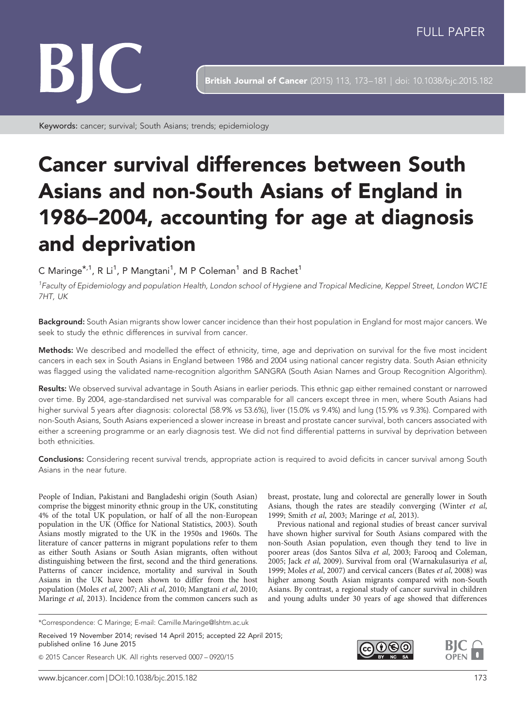

**British Journal of Cancer** (2015) 113, 173-181 | doi: 10.1038/bjc.2015.182

Keywords: cancer; survival; South Asians; trends; epidemiology

# Cancer survival differences between South Asians and non-South Asians of England in 1986–2004, accounting for age at diagnosis and deprivation

# C Maringe $^{\star,1}$ , R Li $^1$ , P Mangtani $^1$ , M P Coleman $^1$  and B Rachet $^1$

<sup>1</sup>Faculty of Epidemiology and population Health, London school of Hygiene and Tropical Medicine, Keppel Street, London WC1E 7HT, UK

Background: South Asian migrants show lower cancer incidence than their host population in England for most major cancers. We seek to study the ethnic differences in survival from cancer.

Methods: We described and modelled the effect of ethnicity, time, age and deprivation on survival for the five most incident cancers in each sex in South Asians in England between 1986 and 2004 using national cancer registry data. South Asian ethnicity was flagged using the validated name-recognition algorithm SANGRA (South Asian Names and Group Recognition Algorithm).

Results: We observed survival advantage in South Asians in earlier periods. This ethnic gap either remained constant or narrowed over time. By 2004, age-standardised net survival was comparable for all cancers except three in men, where South Asians had higher survival 5 years after diagnosis: colorectal (58.9% vs 53.6%), liver (15.0% vs 9.4%) and lung (15.9% vs 9.3%). Compared with non-South Asians, South Asians experienced a slower increase in breast and prostate cancer survival, both cancers associated with either a screening programme or an early diagnosis test. We did not find differential patterns in survival by deprivation between both ethnicities.

Conclusions: Considering recent survival trends, appropriate action is required to avoid deficits in cancer survival among South Asians in the near future.

People of Indian, Pakistani and Bangladeshi origin (South Asian) comprise the biggest minority ethnic group in the UK, constituting 4% of the total UK population, or half of all the non-European population in the UK ([Office for National Statistics, 2003\)](#page-8-0). South Asians mostly migrated to the UK in the 1950s and 1960s. The literature of cancer patterns in migrant populations refer to them as either South Asians or South Asian migrants, often without distinguishing between the first, second and the third generations. Patterns of cancer incidence, mortality and survival in South Asians in the UK have been shown to differ from the host population (Moles et al[, 2007;](#page-8-0) Ali et al[, 2010; Mangtani](#page-7-0) et al, 2010; [Maringe](#page-8-0) et al, 2013). Incidence from the common cancers such as

\*Correspondence: C Maringe; E-mail: [Camille.Maringe@lshtm.ac.uk](mailto:Camille.Maringe@lshtm.ac.uk)

Received 19 November 2014; revised 14 April 2015; accepted 22 April 2015; published online 16 June 2015

& 2015 Cancer Research UK. All rights reserved 0007 – 0920/15

breast, prostate, lung and colorectal are generally lower in South Asians, though the rates are steadily converging ([Winter](#page-8-0) et al, [1999](#page-8-0); Smith et al[, 2003; Maringe](#page-8-0) et al, 2013).

Previous national and regional studies of breast cancer survival have shown higher survival for South Asians compared with the non-South Asian population, even though they tend to live in poorer areas ([dos Santos Silva](#page-7-0) et al, 2003; [Farooq and Coleman,](#page-7-0) [2005](#page-7-0); Jack et al[, 2009\)](#page-7-0). Survival from oral ([Warnakulasuriya](#page-8-0) et al, [1999](#page-8-0); [Moles](#page-8-0) et al, 2007) and cervical cancers (Bates et al[, 2008](#page-7-0)) was higher among South Asian migrants compared with non-South Asians. By contrast, a regional study of cancer survival in children and young adults under 30 years of age showed that differences

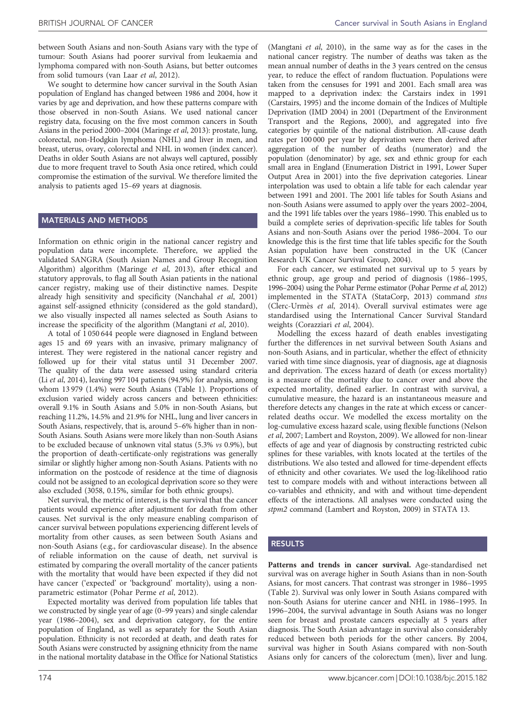between South Asians and non-South Asians vary with the type of tumour: South Asians had poorer survival from leukaemia and lymphoma compared with non-South Asians, but better outcomes from solid tumours [\(van Laar](#page-8-0) et al, 2012).

We sought to determine how cancer survival in the South Asian population of England has changed between 1986 and 2004, how it varies by age and deprivation, and how these patterns compare with those observed in non-South Asians. We used national cancer registry data, focusing on the five most common cancers in South Asians in the period 2000–2004 ([Maringe](#page-8-0) et al, 2013): prostate, lung, colorectal, non-Hodgkin lymphoma (NHL) and liver in men, and breast, uterus, ovary, colorectal and NHL in women (index cancer). Deaths in older South Asians are not always well captured, possibly due to more frequent travel to South Asia once retired, which could compromise the estimation of the survival. We therefore limited the analysis to patients aged 15–69 years at diagnosis.

#### MATERIALS AND METHODS

Information on ethnic origin in the national cancer registry and population data were incomplete. Therefore, we applied the validated SANGRA (South Asian Names and Group Recognition Algorithm) algorithm [\(Maringe](#page-8-0) et al, 2013), after ethical and statutory approvals, to flag all South Asian patients in the national cancer registry, making use of their distinctive names. Despite already high sensitivity and specificity [\(Nanchahal](#page-8-0) et al, 2001) against self-assigned ethnicity (considered as the gold standard), we also visually inspected all names selected as South Asians to increase the specificity of the algorithm ([Mangtani](#page-7-0) et al, 2010).

A total of 1 050 644 people were diagnosed in England between ages 15 and 69 years with an invasive, primary malignancy of interest. They were registered in the national cancer registry and followed up for their vital status until 31 December 2007. The quality of the data were assessed using standard criteria (Li et al[, 2014\)](#page-7-0), leaving 997 104 patients (94.9%) for analysis, among whom 13 979 (1.4%) were South Asians ([Table 1\)](#page-2-0). Proportions of exclusion varied widely across cancers and between ethnicities: overall 9.1% in South Asians and 5.0% in non-South Asians, but reaching 11.2%, 14.5% and 21.9% for NHL, lung and liver cancers in South Asians, respectively, that is, around 5–6% higher than in non-South Asians. South Asians were more likely than non-South Asians to be excluded because of unknown vital status (5.3% vs 0.9%), but the proportion of death-certificate-only registrations was generally similar or slightly higher among non-South Asians. Patients with no information on the postcode of residence at the time of diagnosis could not be assigned to an ecological deprivation score so they were also excluded (3058, 0.15%, similar for both ethnic groups).

Net survival, the metric of interest, is the survival that the cancer patients would experience after adjustment for death from other causes. Net survival is the only measure enabling comparison of cancer survival between populations experiencing different levels of mortality from other causes, as seen between South Asians and non-South Asians (e.g., for cardiovascular disease). In the absence of reliable information on the cause of death, net survival is estimated by comparing the overall mortality of the cancer patients with the mortality that would have been expected if they did not have cancer ('expected' or 'background' mortality), using a nonparametric estimator ([Pohar Perme](#page-8-0) et al, 2012).

Expected mortality was derived from population life tables that we constructed by single year of age (0–99 years) and single calendar year (1986–2004), sex and deprivation category, for the entire population of England, as well as separately for the South Asian population. Ethnicity is not recorded at death, and death rates for South Asians were constructed by assigning ethnicity from the name in the national mortality database in the Office for National Statistics

([Mangtani](#page-7-0) et al, 2010), in the same way as for the cases in the national cancer registry. The number of deaths was taken as the mean annual number of deaths in the 3 years centred on the census year, to reduce the effect of random fluctuation. Populations were taken from the censuses for 1991 and 2001. Each small area was mapped to a deprivation index: the Carstairs index in 1991 ([Carstairs, 1995](#page-7-0)) and the income domain of the Indices of Multiple Deprivation (IMD 2004) in 2001 ([Department of the Environment](#page-7-0) [Transport and the Regions, 2000\)](#page-7-0), and aggregated into five categories by quintile of the national distribution. All-cause death rates per 100 000 per year by deprivation were then derived after aggregation of the number of deaths (numerator) and the population (denominator) by age, sex and ethnic group for each small area in England (Enumeration District in 1991, Lower Super Output Area in 2001) into the five deprivation categories. Linear interpolation was used to obtain a life table for each calendar year between 1991 and 2001. The 2001 life tables for South Asians and non-South Asians were assumed to apply over the years 2002–2004, and the 1991 life tables over the years 1986–1990. This enabled us to build a complete series of deprivation-specific life tables for South Asians and non-South Asians over the period 1986–2004. To our knowledge this is the first time that life tables specific for the South Asian population have been constructed in the UK ([Cancer](#page-7-0) [Research UK Cancer Survival Group, 2004](#page-7-0)).

For each cancer, we estimated net survival up to 5 years by ethnic group, age group and period of diagnosis (1986–1995, 1996–2004) using the Pohar Perme estimator ([Pohar Perme](#page-8-0) et al, 2012) implemented in the STATA [\(StataCorp, 2013](#page-8-0)) command stns (Clerc-Urmès et al, 2014). Overall survival estimates were age standardised using the International Cancer Survival Standard weights ([Corazziari](#page-7-0) et al, 2004).

Modelling the excess hazard of death enables investigating further the differences in net survival between South Asians and non-South Asians, and in particular, whether the effect of ethnicity varied with time since diagnosis, year of diagnosis, age at diagnosis and deprivation. The excess hazard of death (or excess mortality) is a measure of the mortality due to cancer over and above the expected mortality, defined earlier. In contrast with survival, a cumulative measure, the hazard is an instantaneous measure and therefore detects any changes in the rate at which excess or cancerrelated deaths occur. We modelled the excess mortality on the log-cumulative excess hazard scale, using flexible functions ([Nelson](#page-8-0) et al[, 2007;](#page-8-0) [Lambert and Royston, 2009\)](#page-7-0). We allowed for non-linear effects of age and year of diagnosis by constructing restricted cubic splines for these variables, with knots located at the tertiles of the distributions. We also tested and allowed for time-dependent effects of ethnicity and other covariates. We used the log-likelihood ratio test to compare models with and without interactions between all co-variables and ethnicity, and with and without time-dependent effects of the interactions. All analyses were conducted using the stpm2 command [\(Lambert and Royston, 2009\)](#page-7-0) in STATA 13.

### RESULTS

Patterns and trends in cancer survival. Age-standardised net survival was on average higher in South Asians than in non-South Asians, for most cancers. That contrast was stronger in 1986–1995 ([Table 2\)](#page-3-0). Survival was only lower in South Asians compared with non-South Asians for uterine cancer and NHL in 1986–1995. In 1996–2004, the survival advantage in South Asians was no longer seen for breast and prostate cancers especially at 5 years after diagnosis. The South Asian advantage in survival also considerably reduced between both periods for the other cancers. By 2004, survival was higher in South Asians compared with non-South Asians only for cancers of the colorectum (men), liver and lung.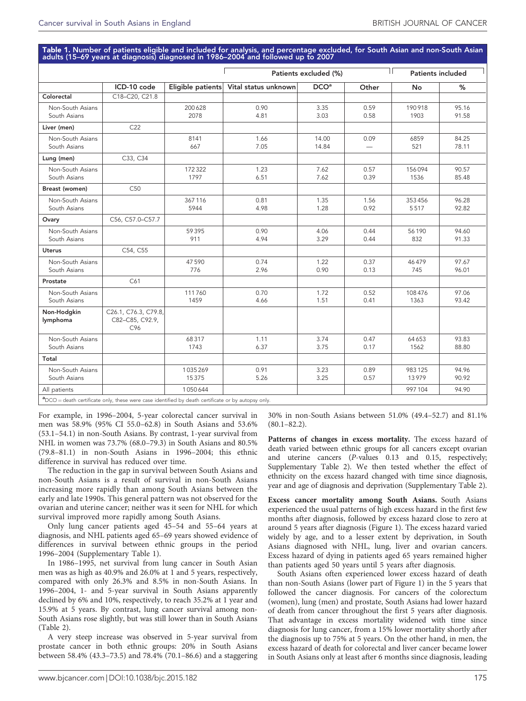<span id="page-2-0"></span>Table 1. Number of patients eligible and included for analysis, and percentage excluded, for South Asian and non-South Asian<br>adults (15–69 years at diagnosis) diagnosed in 1986–2004 and followed up to 2007

|                                  |                                                |                   |                      | Patients excluded (%) |                                  |                 | <b>Patients included</b> |  |
|----------------------------------|------------------------------------------------|-------------------|----------------------|-----------------------|----------------------------------|-----------------|--------------------------|--|
|                                  | ICD-10 code                                    | Eligible patients | Vital status unknown | DCO <sup>a</sup>      | Other                            | No              | %                        |  |
| Colorectal                       | C18-C20, C21.8                                 |                   |                      |                       |                                  |                 |                          |  |
| Non-South Asians<br>South Asians |                                                | 200628<br>2078    | 0.90<br>4.81         | 3.35<br>3.03          | 0.59<br>0.58                     | 190918<br>1903  | 95.16<br>91.58           |  |
| Liver (men)                      | C22                                            |                   |                      |                       |                                  |                 |                          |  |
| Non-South Asians<br>South Asians |                                                | 8141<br>667       | 1.66<br>7.05         | 14.00<br>14.84        | 0.09<br>$\overline{\phantom{m}}$ | 6859<br>521     | 84.25<br>78.11           |  |
| Lung (men)                       | C33, C34                                       |                   |                      |                       |                                  |                 |                          |  |
| Non-South Asians<br>South Asians |                                                | 172322<br>1797    | 1.23<br>6.51         | 7.62<br>7.62          | 0.57<br>0.39                     | 156094<br>1536  | 90.57<br>85.48           |  |
| Breast (women)                   | C <sub>50</sub>                                |                   |                      |                       |                                  |                 |                          |  |
| Non-South Asians<br>South Asians |                                                | 367116<br>5944    | 0.81<br>4.98         | 1.35<br>1.28          | 1.56<br>0.92                     | 353456<br>5517  | 96.28<br>92.82           |  |
| Ovary                            | C56, C57.0-C57.7                               |                   |                      |                       |                                  |                 |                          |  |
| Non-South Asians<br>South Asians |                                                | 59395<br>911      | 0.90<br>4.94         | 4.06<br>3.29          | 0.44<br>0.44                     | 56190<br>832    | 94.60<br>91.33           |  |
| <b>Uterus</b>                    | C54, C55                                       |                   |                      |                       |                                  |                 |                          |  |
| Non-South Asians<br>South Asians |                                                | 47590<br>776      | 0.74<br>2.96         | 1.22<br>0.90          | 0.37<br>0.13                     | 46479<br>745    | 97.67<br>96.01           |  |
| Prostate                         | C61                                            |                   |                      |                       |                                  |                 |                          |  |
| Non-South Asians<br>South Asians |                                                | 111760<br>1459    | 0.70<br>4.66         | 1.72<br>1.51          | 0.52<br>0.41                     | 108476<br>1363  | 97.06<br>93.42           |  |
| Non-Hodgkin<br>lymphoma          | C26.1, C76.3, C79.8,<br>C82-C85, C92.9,<br>C96 |                   |                      |                       |                                  |                 |                          |  |
| Non-South Asians<br>South Asians |                                                | 68317<br>1743     | 1.11<br>6.37         | 3.74<br>3.75          | 0.47<br>0.17                     | 64653<br>1562   | 93.83<br>88.80           |  |
| Total                            |                                                |                   |                      |                       |                                  |                 |                          |  |
| Non-South Asians<br>South Asians |                                                | 1035269<br>15375  | 0.91<br>5.26         | 3.23<br>3.25          | 0.89<br>0.57                     | 983125<br>13979 | 94.96<br>90.92           |  |
| All patients                     |                                                | 1050644           |                      |                       |                                  | 997104          | 94.90                    |  |

For example, in 1996–2004, 5-year colorectal cancer survival in men was 58.9% (95% CI 55.0–62.8) in South Asians and 53.6% (53.1–54.1) in non-South Asians. By contrast, 1-year survival from NHL in women was 73.7% (68.0–79.3) in South Asians and 80.5% (79.8–81.1) in non-South Asians in 1996–2004; this ethnic difference in survival has reduced over time.

The reduction in the gap in survival between South Asians and non-South Asians is a result of survival in non-South Asians increasing more rapidly than among South Asians between the early and late 1990s. This general pattern was not observed for the ovarian and uterine cancer; neither was it seen for NHL for which survival improved more rapidly among South Asians.

Only lung cancer patients aged 45–54 and 55–64 years at diagnosis, and NHL patients aged 65–69 years showed evidence of differences in survival between ethnic groups in the period 1996–2004 (Supplementary Table 1).

In 1986–1995, net survival from lung cancer in South Asian men was as high as 40.9% and 26.0% at 1 and 5 years, respectively, compared with only 26.3% and 8.5% in non-South Asians. In 1996–2004, 1- and 5-year survival in South Asians apparently declined by 6% and 10%, respectively, to reach 35.2% at 1 year and 15.9% at 5 years. By contrast, lung cancer survival among non-South Asians rose slightly, but was still lower than in South Asians ([Table 2\)](#page-3-0).

A very steep increase was observed in 5-year survival from prostate cancer in both ethnic groups: 20% in South Asians between 58.4% (43.3–73.5) and 78.4% (70.1–86.6) and a staggering 30% in non-South Asians between 51.0% (49.4–52.7) and 81.1%  $(80.1 - 82.2)$ .

Patterns of changes in excess mortality. The excess hazard of death varied between ethnic groups for all cancers except ovarian and uterine cancers (P-values 0.13 and 0.15, respectively; Supplementary Table 2). We then tested whether the effect of ethnicity on the excess hazard changed with time since diagnosis, year and age of diagnosis and deprivation (Supplementary Table 2).

Excess cancer mortality among South Asians. South Asians experienced the usual patterns of high excess hazard in the first few months after diagnosis, followed by excess hazard close to zero at around 5 years after diagnosis ([Figure 1](#page-4-0)). The excess hazard varied widely by age, and to a lesser extent by deprivation, in South Asians diagnosed with NHL, lung, liver and ovarian cancers. Excess hazard of dying in patients aged 65 years remained higher than patients aged 50 years until 5 years after diagnosis.

South Asians often experienced lower excess hazard of death than non-South Asians (lower part of [Figure 1\)](#page-4-0) in the 5 years that followed the cancer diagnosis. For cancers of the colorectum (women), lung (men) and prostate, South Asians had lower hazard of death from cancer throughout the first 5 years after diagnosis. That advantage in excess mortality widened with time since diagnosis for lung cancer, from a 15% lower mortality shortly after the diagnosis up to 75% at 5 years. On the other hand, in men, the excess hazard of death for colorectal and liver cancer became lower in South Asians only at least after 6 months since diagnosis, leading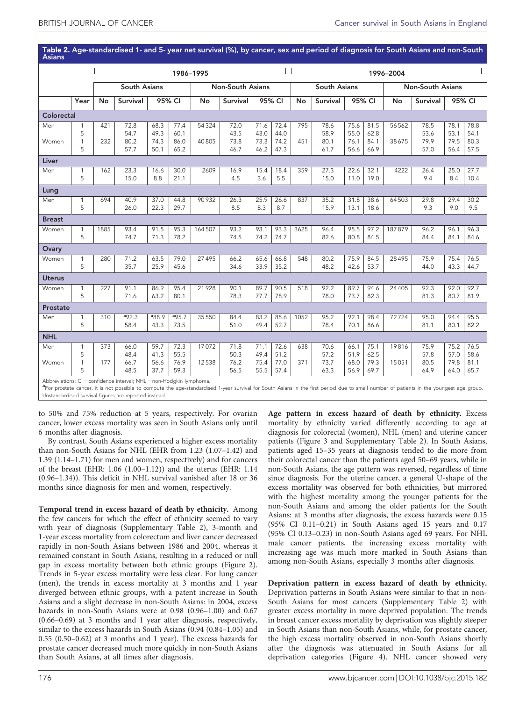<span id="page-3-0"></span>Table 2. Age-standardised 1- and 5- year net survival (%), by cancer, sex and period of diagnosis for South Asians and non-South Asians

|               |                   | 1986-1995           |                 |                   |                         |        |                    |                     |              | 1996-2004 |              |                         |              |          |              |              |              |
|---------------|-------------------|---------------------|-----------------|-------------------|-------------------------|--------|--------------------|---------------------|--------------|-----------|--------------|-------------------------|--------------|----------|--------------|--------------|--------------|
|               |                   | <b>South Asians</b> |                 |                   | <b>Non-South Asians</b> |        |                    | <b>South Asians</b> |              |           |              | <b>Non-South Asians</b> |              |          |              |              |              |
|               | Year              | No                  | <b>Survival</b> | 95% CI            |                         | No     | Survival<br>95% CI |                     | No           | Survival  | 95% CI       |                         | No           | Survival | 95% CI       |              |              |
| Colorectal    |                   |                     |                 |                   |                         |        |                    |                     |              |           |              |                         |              |          |              |              |              |
| Men           | 1<br>5            | 421                 | 72.8<br>54.7    | 68.3<br>49.3      | 77.4<br>60.1            | 54324  | 72.0<br>43.5       | 71.6<br>43.0        | 72.4<br>44.0 | 795       | 78.6<br>58.9 | 75.6<br>55.0            | 81.5<br>62.8 | 56562    | 78.5<br>53.6 | 78.1<br>53.1 | 78.8<br>54.1 |
| Women         | $\mathbf{1}$      | 232                 | 80.2            | 74.3              | 86.0                    | 40805  | 73.8               | 73.3                | 74.2         | 451       | 80.1         | 76.1                    | 84.1         | 38675    | 79.9         | 79.5         | 80.3         |
|               | 5                 |                     | 57.7            | 50.1              | 65.2                    |        | 46.7               | 46.2                | 47.3         |           | 61.7         | 56.6                    | 66.9         |          | 57.0         | 56.4         | 57.5         |
| Liver         |                   |                     |                 |                   |                         |        |                    |                     |              |           |              |                         |              |          |              |              |              |
| Men           | 1                 | 162                 | 23.3            | 16.6              | 30.0                    | 2609   | 16.9               | 15.4                | 18.4         | 359       | 27.3         | 22.6                    | 32.1         | 4222     | 26.4         | 25.0         | 27.7         |
|               | 5                 |                     | 15.0            | 8.8               | 21.1                    |        | 4.5                | 3.6                 | 5.5          |           | 15.0         | 11.0                    | 19.0         |          | 9.4          | 8.4          | 10.4         |
| Lung          |                   |                     |                 |                   |                         |        |                    |                     |              |           |              |                         |              |          |              |              |              |
| Men           | 1                 | 694                 | 40.9            | 37.0              | 44.8                    | 90932  | 26.3               | 25.9                | 26.6         | 837       | 35.2         | 31.8                    | 38.6         | 64503    | 29.8         | 29.4         | 30.2         |
|               | 5                 |                     | 26.0            | 22.3              | 29.7                    |        | 8.5                | 8.3                 | 8.7          |           | 15.9         | 13.1                    | 18.6         |          | 9.3          | 9.0          | 9.5          |
| <b>Breast</b> |                   |                     |                 |                   |                         |        |                    |                     |              |           |              |                         |              |          |              |              |              |
| Women         | 1<br>5            | 1885                | 93.4<br>74.7    | 91.5<br>71.3      | 95.3<br>78.2            | 164507 | 93.2<br>74.5       | 93.1<br>74.2        | 93.3<br>74.7 | 3625      | 96.4<br>82.6 | 95.5<br>80.8            | 97.2<br>84.5 | 187879   | 96.2<br>84.4 | 96.1<br>84.1 | 96.3<br>84.6 |
|               |                   |                     |                 |                   |                         |        |                    |                     |              |           |              |                         |              |          |              |              |              |
| Ovary         |                   |                     |                 |                   |                         |        |                    |                     |              |           |              |                         |              |          |              |              |              |
| Women         | $\mathbf{1}$<br>5 | 280                 | 71.2<br>35.7    | 63.5<br>25.9      | 79.0<br>45.6            | 27495  | 66.2<br>34.6       | 65.6<br>33.9        | 66.8<br>35.2 | 548       | 80.2<br>48.2 | 75.9<br>42.6            | 84.5<br>53.7 | 28495    | 75.9<br>44.0 | 75.4<br>43.3 | 76.5<br>44.7 |
| <b>Uterus</b> |                   |                     |                 |                   |                         |        |                    |                     |              |           |              |                         |              |          |              |              |              |
| Women         | 1                 | 227                 | 91.1            | 86.9              | 95.4                    | 21928  | 90.1               | 89.7                | 90.5         | 518       | 92.2         | 89.7                    | 94.6         | 24 4 05  | 92.3         | 92.0         | 92.7         |
|               | 5                 |                     | 71.6            | 63.2              | 80.1                    |        | 78.3               | 77.7                | 78.9         |           | 78.0         | 73.7                    | 82.3         |          | 81.3         | 80.7         | 81.9         |
| Prostate      |                   |                     |                 |                   |                         |        |                    |                     |              |           |              |                         |              |          |              |              |              |
| Men           | $\mathbf{1}$      | 310                 | $a_{92.3}$      | <sup>a</sup> 88.9 | $a$ 95.7                | 35 550 | 84.4               | 83.2                | 85.6         | 1052      | 95.2         | 92.1                    | 98.4         | 72724    | 95.0         | 94.4         | 95.5         |
|               | 5                 |                     | 58.4            | 43.3              | 73.5                    |        | 51.0               | 49.4                | 52.7         |           | 78.4         | 70.1                    | 86.6         |          | 81.1         | 80.1         | 82.2         |
| <b>NHL</b>    |                   |                     |                 |                   |                         |        |                    |                     |              |           |              |                         |              |          |              |              |              |
| Men           | 1                 | 373                 | 66.0            | 59.7              | 72.3                    | 17072  | 71.8               | 71.1                | 72.6         | 638       | 70.6         | 66.1                    | 75.1         | 19816    | 75.9         | 75.2         | 76.5         |
| Women         | 5<br>$\mathbf{1}$ | 177                 | 48.4<br>66.7    | 41.3<br>56.6      | 55.5<br>76.9            | 12538  | 50.3<br>76.2       | 49.4<br>75.4        | 51.2<br>77.0 | 371       | 57.2<br>73.7 | 51.9<br>68.0            | 62.5<br>79.3 | 15051    | 57.8<br>80.5 | 57.0<br>79.8 | 58.6<br>81.1 |
|               | 5                 |                     | 48.5            | 37.7              | 59.3                    |        | 56.5               | 55.5                | 57.4         |           | 63.3         | 56.9                    | 69.7         |          | 64.9         | 64.0         | 65.7         |
| $\sim$ $\sim$ |                   | $\sim$ $\sim$       |                 |                   |                         |        |                    |                     |              |           |              |                         |              |          |              |              |              |

Abbreviations: CI=confidence interval; NHL=non-Hodgkin lymphoma.<br><sup>a</sup>For prostate cancer, it is not possible to compute the age-standardised 1-year survival for South Asians in the first period due to small number of patien Unstandardised survival figures are reported instead.

to 50% and 75% reduction at 5 years, respectively. For ovarian cancer, lower excess mortality was seen in South Asians only until 6 months after diagnosis.

By contrast, South Asians experienced a higher excess mortality than non-South Asians for NHL (EHR from 1.23 (1.07–1.42) and 1.39 (1.14–1.71) for men and women, respectively) and for cancers of the breast (EHR: 1.06 (1.00–1.12)) and the uterus (EHR: 1.14 (0.96–1.34)). This deficit in NHL survival vanished after 18 or 36 months since diagnosis for men and women, respectively.

Temporal trend in excess hazard of death by ethnicity. Among the few cancers for which the effect of ethnicity seemed to vary with year of diagnosis (Supplementary Table 2), 3-month and 1-year excess mortality from colorectum and liver cancer decreased rapidly in non-South Asians between 1986 and 2004, whereas it remained constant in South Asians, resulting in a reduced or null gap in excess mortality between both ethnic groups [\(Figure 2](#page-5-0)). Trends in 5-year excess mortality were less clear. For lung cancer (men), the trends in excess mortality at 3 months and 1 year diverged between ethnic groups, with a patent increase in South Asians and a slight decrease in non-South Asians: in 2004, excess hazards in non-South Asians were at 0.98 (0.96–1.00) and 0.67 (0.66–0.69) at 3 months and 1 year after diagnosis, respectively, similar to the excess hazards in South Asians (0.94 (0.84–1.05) and 0.55 (0.50–0.62) at 3 months and 1 year). The excess hazards for prostate cancer decreased much more quickly in non-South Asians than South Asians, at all times after diagnosis.

Age pattern in excess hazard of death by ethnicity. Excess mortality by ethnicity varied differently according to age at diagnosis for colorectal (women), NHL (men) and uterine cancer patients [\(Figure 3](#page-5-0) and Supplementary Table 2). In South Asians, patients aged 15–35 years at diagnosis tended to die more from their colorectal cancer than the patients aged 50–69 years, while in non-South Asians, the age pattern was reversed, regardless of time since diagnosis. For the uterine cancer, a general U-shape of the excess mortality was observed for both ethnicities, but mirrored with the highest mortality among the younger patients for the non-South Asians and among the older patients for the South Asians: at 3 months after diagnosis, the excess hazards were 0.15 (95% CI 0.11–0.21) in South Asians aged 15 years and 0.17 (95% CI 0.13–0.23) in non-South Asians aged 69 years. For NHL male cancer patients, the increasing excess mortality with increasing age was much more marked in South Asians than among non-South Asians, especially 3 months after diagnosis.

Deprivation pattern in excess hazard of death by ethnicity. Deprivation patterns in South Asians were similar to that in non-South Asians for most cancers (Supplementary Table 2) with greater excess mortality in more deprived population. The trends in breast cancer excess mortality by deprivation was slightly steeper in South Asians than non-South Asians, while, for prostate cancer, the high excess mortality observed in non-South Asians shortly after the diagnosis was attenuated in South Asians for all deprivation categories ([Figure 4\)](#page-6-0). NHL cancer showed very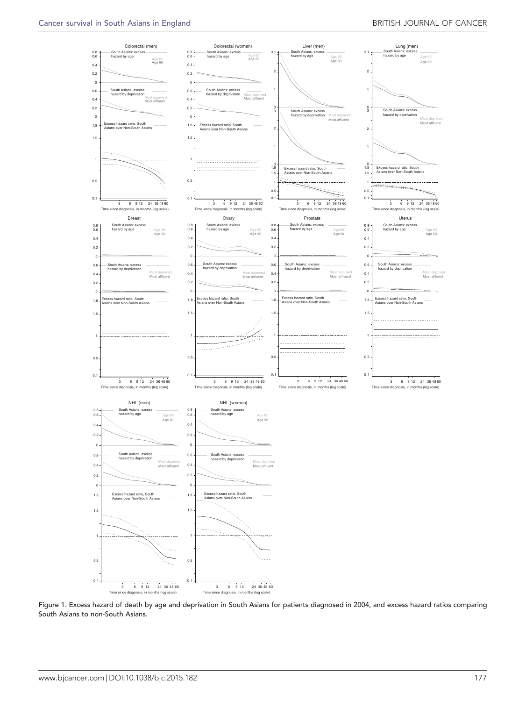<span id="page-4-0"></span>

Figure 1. Excess hazard of death by age and deprivation in South Asians for patients diagnosed in 2004, and excess hazard ratios comparing South Asians to non-South Asians.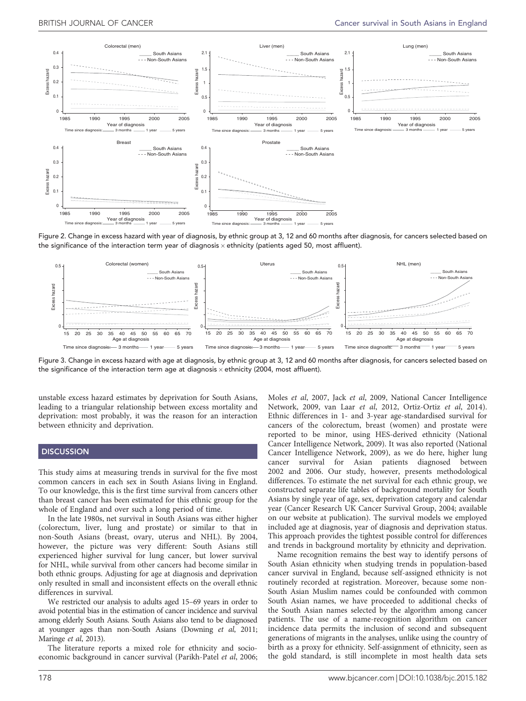<span id="page-5-0"></span>

Figure 2. Change in excess hazard with year of diagnosis, by ethnic group at 3, 12 and 60 months after diagnosis, for cancers selected based on the significance of the interaction term year of diagnosis  $\times$  ethnicity (patients aged 50, most affluent).



Figure 3. Change in excess hazard with age at diagnosis, by ethnic group at 3, 12 and 60 months after diagnosis, for cancers selected based on the significance of the interaction term age at diagnosis  $\times$  ethnicity (2004, most affluent).

unstable excess hazard estimates by deprivation for South Asians, leading to a triangular relationship between excess mortality and deprivation: most probably, it was the reason for an interaction between ethnicity and deprivation.

#### **DISCUSSION**

This study aims at measuring trends in survival for the five most common cancers in each sex in South Asians living in England. To our knowledge, this is the first time survival from cancers other than breast cancer has been estimated for this ethnic group for the whole of England and over such a long period of time.

In the late 1980s, net survival in South Asians was either higher (colorectum, liver, lung and prostate) or similar to that in non-South Asians (breast, ovary, uterus and NHL). By 2004, however, the picture was very different: South Asians still experienced higher survival for lung cancer, but lower survival for NHL, while survival from other cancers had become similar in both ethnic groups. Adjusting for age at diagnosis and deprivation only resulted in small and inconsistent effects on the overall ethnic differences in survival.

We restricted our analysis to adults aged 15–69 years in order to avoid potential bias in the estimation of cancer incidence and survival among elderly South Asians. South Asians also tend to be diagnosed at younger ages than non-South Asians [\(Downing](#page-7-0) et al, 2011; [Maringe](#page-8-0) et al, 2013).

The literature reports a mixed role for ethnicity and socio-economic background in cancer survival ([Parikh-Patel](#page-8-0) et al, 2006;

Moles et al[, 2007,](#page-8-0) Jack et al[, 2009,](#page-7-0) [National Cancer Intelligence](#page-8-0) [Network, 2009, van Laar](#page-8-0) et al, 2012, [Ortiz-Ortiz](#page-8-0) et al, 2014). Ethnic differences in 1- and 3-year age-standardised survival for cancers of the colorectum, breast (women) and prostate were reported to be minor, using HES-derived ethnicity ([National](#page-8-0) [Cancer Intelligence Network, 2009\)](#page-8-0). It was also reported ([National](#page-8-0) [Cancer Intelligence Network, 2009\)](#page-8-0), as we do here, higher lung cancer survival for Asian patients diagnosed between 2002 and 2006. Our study, however, presents methodological differences. To estimate the net survival for each ethnic group, we constructed separate life tables of background mortality for South Asians by single year of age, sex, deprivation category and calendar year [\(Cancer Research UK Cancer Survival Group, 2004;](#page-7-0) available on our website at publication). The survival models we employed included age at diagnosis, year of diagnosis and deprivation status. This approach provides the tightest possible control for differences and trends in background mortality by ethnicity and deprivation.

Name recognition remains the best way to identify persons of South Asian ethnicity when studying trends in population-based cancer survival in England, because self-assigned ethnicity is not routinely recorded at registration. Moreover, because some non-South Asian Muslim names could be confounded with common South Asian names, we have proceeded to additional checks of the South Asian names selected by the algorithm among cancer patients. The use of a name-recognition algorithm on cancer incidence data permits the inclusion of second and subsequent generations of migrants in the analyses, unlike using the country of birth as a proxy for ethnicity. Self-assignment of ethnicity, seen as the gold standard, is still incomplete in most health data sets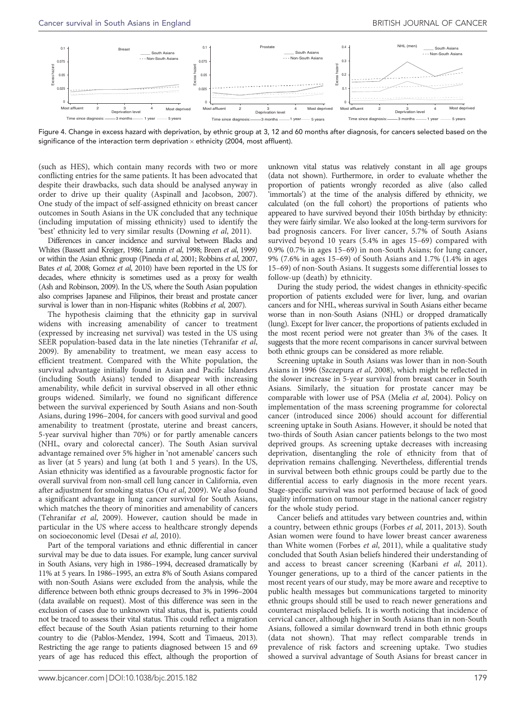<span id="page-6-0"></span>

Figure 4. Change in excess hazard with deprivation, by ethnic group at 3, 12 and 60 months after diagnosis, for cancers selected based on the significance of the interaction term deprivation  $\times$  ethnicity (2004, most affluent).

(such as HES), which contain many records with two or more conflicting entries for the same patients. It has been advocated that despite their drawbacks, such data should be analysed anyway in order to drive up their quality [\(Aspinall and Jacobson, 2007](#page-7-0)). One study of the impact of self-assigned ethnicity on breast cancer outcomes in South Asians in the UK concluded that any technique (including imputation of missing ethnicity) used to identify the 'best' ethnicity led to very similar results [\(Downing](#page-7-0) et al, 2011).

Differences in cancer incidence and survival between Blacks and Whites [\(Bassett and Kreiger, 1986; Lannin](#page-7-0) et al, 1998; Breen et al[, 1999](#page-7-0)) or within the Asian ethnic group ([Pineda](#page-8-0) et al, 2001; [Robbins](#page-8-0) et al, 2007, Bates et al[, 2008](#page-7-0); [Gomez](#page-7-0) et al, 2010) have been reported in the US for decades, where ethnicity is sometimes used as a proxy for wealth [\(Ash and Robinson, 2009\)](#page-7-0). In the US, where the South Asian population also comprises Japanese and Filipinos, their breast and prostate cancer survival is lower than in non-Hispanic whites ([Robbins](#page-8-0) et al, 2007).

The hypothesis claiming that the ethnicity gap in survival widens with increasing amenability of cancer to treatment (expressed by increasing net survival) was tested in the US using SEER population-based data in the late nineties ([Tehranifar](#page-8-0) et al, [2009](#page-8-0)). By amenability to treatment, we mean easy access to efficient treatment. Compared with the White population, the survival advantage initially found in Asian and Pacific Islanders (including South Asians) tended to disappear with increasing amenability, while deficit in survival observed in all other ethnic groups widened. Similarly, we found no significant difference between the survival experienced by South Asians and non-South Asians, during 1996–2004, for cancers with good survival and good amenability to treatment (prostate, uterine and breast cancers, 5-year survival higher than 70%) or for partly amenable cancers (NHL, ovary and colorectal cancer). The South Asian survival advantage remained over 5% higher in 'not amenable' cancers such as liver (at 5 years) and lung (at both 1 and 5 years). In the US, Asian ethnicity was identified as a favourable prognostic factor for overall survival from non-small cell lung cancer in California, even after adjustment for smoking status (Ou et al[, 2009\)](#page-8-0). We also found a significant advantage in lung cancer survival for South Asians, which matches the theory of minorities and amenability of cancers ([Tehranifar](#page-8-0) et al, 2009). However, caution should be made in particular in the US where access to healthcare strongly depends on socioeconomic level (Desai et al[, 2010\)](#page-7-0).

Part of the temporal variations and ethnic differential in cancer survival may be due to data issues. For example, lung cancer survival in South Asians, very high in 1986–1994, decreased dramatically by 11% at 5 years. In 1986–1995, an extra 8% of South Asians compared with non-South Asians were excluded from the analysis, while the difference between both ethnic groups decreased to 3% in 1996–2004 (data available on request). Most of this difference was seen in the exclusion of cases due to unknown vital status, that is, patients could not be traced to assess their vital status. This could reflect a migration effect because of the South Asian patients returning to their home country to die [\(Pablos-Mendez, 1994, Scott and Timaeus, 2013\)](#page-8-0). Restricting the age range to patients diagnosed between 15 and 69 years of age has reduced this effect, although the proportion of unknown vital status was relatively constant in all age groups (data not shown). Furthermore, in order to evaluate whether the proportion of patients wrongly recorded as alive (also called 'immortals') at the time of the analysis differed by ethnicity, we calculated (on the full cohort) the proportions of patients who appeared to have survived beyond their 105th birthday by ethnicity: they were fairly similar. We also looked at the long-term survivors for bad prognosis cancers. For liver cancer, 5.7% of South Asians survived beyond 10 years (5.4% in ages 15–69) compared with 0.9% (0.7% in ages 15–69) in non-South Asians; for lung cancer, 9% (7.6% in ages 15–69) of South Asians and 1.7% (1.4% in ages 15–69) of non-South Asians. It suggests some differential losses to follow-up (death) by ethnicity.

During the study period, the widest changes in ethnicity-specific proportion of patients excluded were for liver, lung, and ovarian cancers and for NHL, whereas survival in South Asians either became worse than in non-South Asians (NHL) or dropped dramatically (lung). Except for liver cancer, the proportions of patients excluded in the most recent period were not greater than 3% of the cases. It suggests that the more recent comparisons in cancer survival between both ethnic groups can be considered as more reliable.

Screening uptake in South Asians was lower than in non-South Asians in 1996 [\(Szczepura](#page-8-0) et al, 2008), which might be reflected in the slower increase in 5-year survival from breast cancer in South Asians. Similarly, the situation for prostate cancer may be comparable with lower use of PSA (Melia et al[, 2004](#page-8-0)). Policy on implementation of the mass screening programme for colorectal cancer (introduced since 2006) should account for differential screening uptake in South Asians. However, it should be noted that two-thirds of South Asian cancer patients belongs to the two most deprived groups. As screening uptake decreases with increasing deprivation, disentangling the role of ethnicity from that of deprivation remains challenging. Nevertheless, differential trends in survival between both ethnic groups could be partly due to the differential access to early diagnosis in the more recent years. Stage-specific survival was not performed because of lack of good quality information on tumour stage in the national cancer registry for the whole study period.

Cancer beliefs and attitudes vary between countries and, within a country, between ethnic groups (Forbes et al[, 2011, 2013](#page-7-0)). South Asian women were found to have lower breast cancer awareness than White women ([Forbes](#page-7-0) et al, 2011), while a qualitative study concluded that South Asian beliefs hindered their understanding of and access to breast cancer screening [\(Karbani](#page-7-0) et al, 2011). Younger generations, up to a third of the cancer patients in the most recent years of our study, may be more aware and receptive to public health messages but communications targeted to minority ethnic groups should still be used to reach newer generations and counteract misplaced beliefs. It is worth noticing that incidence of cervical cancer, although higher in South Asians than in non-South Asians, followed a similar downward trend in both ethnic groups (data not shown). That may reflect comparable trends in prevalence of risk factors and screening uptake. Two studies showed a survival advantage of South Asians for breast cancer in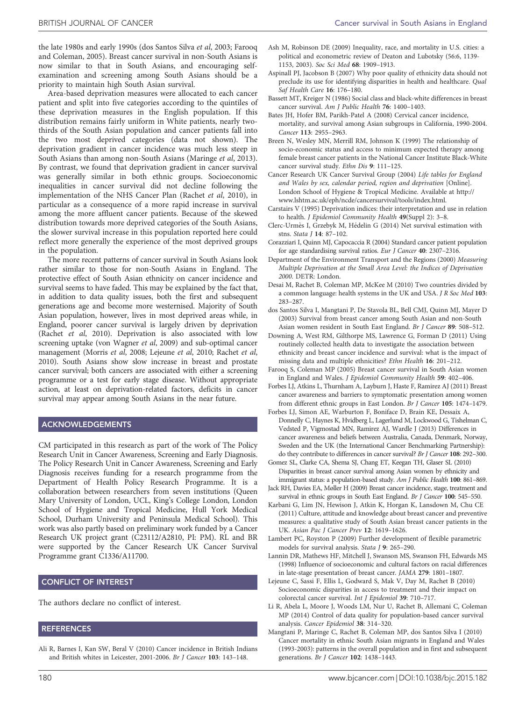<span id="page-7-0"></span>the late 1980s and early 1990s (dos Santos Silva et al, 2003; Farooq and Coleman, 2005). Breast cancer survival in non-South Asians is now similar to that in South Asians, and encouraging selfexamination and screening among South Asians should be a priority to maintain high South Asian survival.

Area-based deprivation measures were allocated to each cancer patient and split into five categories according to the quintiles of these deprivation measures in the English population. If this distribution remains fairly uniform in White patients, nearly twothirds of the South Asian population and cancer patients fall into the two most deprived categories (data not shown). The deprivation gradient in cancer incidence was much less steep in South Asians than among non-South Asians ([Maringe](#page-8-0) et al, 2013). By contrast, we found that deprivation gradient in cancer survival was generally similar in both ethnic groups. Socioeconomic inequalities in cancer survival did not decline following the implementation of the NHS Cancer Plan ([Rachet](#page-8-0) et al, 2010), in particular as a consequence of a more rapid increase in survival among the more affluent cancer patients. Because of the skewed distribution towards more deprived categories of the South Asians, the slower survival increase in this population reported here could reflect more generally the experience of the most deprived groups in the population.

The more recent patterns of cancer survival in South Asians look rather similar to those for non-South Asians in England. The protective effect of South Asian ethnicity on cancer incidence and survival seems to have faded. This may be explained by the fact that, in addition to data quality issues, both the first and subsequent generations age and become more westernised. Majority of South Asian population, however, lives in most deprived areas while, in England, poorer cancer survival is largely driven by deprivation (Rachet et al[, 2010\)](#page-8-0). Deprivation is also associated with low screening uptake [\(von Wagner](#page-8-0) et al, 2009) and sub-optimal cancer management [\(Morris](#page-8-0) et al, 2008; Lejeune et al, 2010; [Rachet](#page-8-0) et al, [2010](#page-8-0)). South Asians show slow increase in breast and prostate cancer survival; both cancers are associated with either a screening programme or a test for early stage disease. Without appropriate action, at least on deprivation-related factors, deficits in cancer survival may appear among South Asians in the near future.

#### ACKNOWLEDGEMENTS

CM participated in this research as part of the work of The Policy Research Unit in Cancer Awareness, Screening and Early Diagnosis. The Policy Research Unit in Cancer Awareness, Screening and Early Diagnosis receives funding for a research programme from the Department of Health Policy Research Programme. It is a collaboration between researchers from seven institutions (Queen Mary University of London, UCL, King's College London, London School of Hygiene and Tropical Medicine, Hull York Medical School, Durham University and Peninsula Medical School). This work was also partly based on preliminary work funded by a Cancer Research UK project grant (C23112/A2810, PI: PM). RL and BR were supported by the Cancer Research UK Cancer Survival Programme grant C1336/A11700.

## CONFLICT OF INTEREST

The authors declare no conflict of interest.

#### **REFERENCES**

Ali R, Barnes I, Kan SW, Beral V (2010) Cancer incidence in British Indians and British whites in Leicester, 2001-2006. Br J Cancer 103: 143–148.

- Ash M, Robinson DE (2009) Inequality, race, and mortality in U.S. cities: a political and econometric review of Deaton and Lubotsky (56:6, 1139- 1153, 2003). Soc Sci Med 68: 1909–1913.
- Aspinall PJ, Jacobson B (2007) Why poor quality of ethnicity data should not preclude its use for identifying disparities in health and healthcare. Qual Saf Health Care 16: 176–180.
- Bassett MT, Kreiger N (1986) Social class and black-white differences in breast cancer survival. Am J Public Health 76: 1400–1403.
- Bates JH, Hofer BM, Parikh-Patel A (2008) Cervical cancer incidence, mortality, and survival among Asian subgroups in California, 1990-2004. Cancer 113: 2955–2963.
- Breen N, Wesley MN, Merrill RM, Johnson K (1999) The relationship of socio-economic status and access to minimum expected therapy among female breast cancer patients in the National Cancer Institute Black-White cancer survival study. Ethn Dis 9: 111–125.
- Cancer Research UK Cancer Survival Group (2004) Life tables for England and Wales by sex, calendar period, region and deprivation [Online]. London School of Hygiene & Tropical Medicine. Available at [http://](http://www.lshtm.ac.uk/eph/ncde/cancersurvival/tools/index.html) [www.lshtm.ac.uk/eph/ncde/cancersurvival/tools/index.html](http://www.lshtm.ac.uk/eph/ncde/cancersurvival/tools/index.html).
- Carstairs V (1995) Deprivation indices: their interpretation and use in relation to health. J Epidemiol Community Health 49(Suppl 2): 3-8.
- Clerc-Urmès I, Grzebyk M, Hédelin G (2014) Net survival estimation with stns. Stata J 14: 87–102.
- Corazziari I, Quinn MJ, Capocaccia R (2004) Standard cancer patient population for age standardising survival ratios. Eur J Cancer 40: 2307–2316.
- Department of the Environment Transport and the Regions (2000) Measuring Multiple Deprivation at the Small Area Level: the Indices of Deprivation 2000. DETR: London.
- Desai M, Rachet B, Coleman MP, McKee M (2010) Two countries divided by a common language: health systems in the UK and USA. J R Soc Med 103: 283–287.
- dos Santos Silva I, Mangtani P, De Stavola BL, Bell CMJ, Quinn MJ, Mayer D (2003) Survival from breast cancer among South Asian and non-South Asian women resident in South East England. Br J Cancer 89: 508–512.
- Downing A, West RM, Gilthorpe MS, Lawrence G, Forman D (2011) Using routinely collected health data to investigate the association between ethnicity and breast cancer incidence and survival: what is the impact of missing data and multiple ethnicities? Ethn Health 16: 201–212.
- Farooq S, Coleman MP (2005) Breast cancer survival in South Asian women in England and Wales. J Epidemiol Community Health 59: 402–406.
- Forbes LJ, Atkins L, Thurnham A, Layburn J, Haste F, Ramirez AJ (2011) Breast cancer awareness and barriers to symptomatic presentation among women from different ethnic groups in East London. Br J Cancer 105: 1474-1479.
- Forbes LJ, Simon AE, Warburton F, Boniface D, Brain KE, Dessaix A, Donnelly C, Haynes K, Hvidberg L, Lagerlund M, Lockwood G, Tishelman C, Vedsted P, Vigmostad MN, Ramirez AJ, Wardle J (2013) Differences in cancer awareness and beliefs between Australia, Canada, Denmark, Norway, Sweden and the UK (the International Cancer Benchmarking Partnership): do they contribute to differences in cancer survival? Br J Cancer 108: 292–300.
- Gomez SL, Clarke CA, Shema SJ, Chang ET, Keegan TH, Glaser SL (2010) Disparities in breast cancer survival among Asian women by ethnicity and immigrant status: a population-based study. Am J Public Health 100: 861-869.
- Jack RH, Davies EA, Møller H (2009) Breast cancer incidence, stage, treatment and survival in ethnic groups in South East England. Br J Cancer 100: 545-550.
- Karbani G, Lim JN, Hewison J, Atkin K, Horgan K, Lansdown M, Chu CE (2011) Culture, attitude and knowledge about breast cancer and preventive measures: a qualitative study of South Asian breast cancer patients in the UK. Asian Pac J Cancer Prev 12: 1619–1626.
- Lambert PC, Royston P (2009) Further development of flexible parametric models for survival analysis. Stata J 9: 265–290.
- Lannin DR, Mathews HF, Mitchell J, Swanson MS, Swanson FH, Edwards MS (1998) Influence of socioeconomic and cultural factors on racial differences in late-stage presentation of breast cancer. JAMA 279: 1801–1807.
- Lejeune C, Sassi F, Ellis L, Godward S, Mak V, Day M, Rachet B (2010) Socioeconomic disparities in access to treatment and their impact on colorectal cancer survival. Int J Epidemiol 39: 710–717.
- Li R, Abela L, Moore J, Woods LM, Nur U, Rachet B, Allemani C, Coleman MP (2014) Control of data quality for population-based cancer survival analysis. Cancer Epidemiol 38: 314–320.
- Mangtani P, Maringe C, Rachet B, Coleman MP, dos Santos Silva I (2010) Cancer mortality in ethnic South Asian migrants in England and Wales (1993-2003): patterns in the overall population and in first and subsequent generations. Br J Cancer 102: 1438–1443.